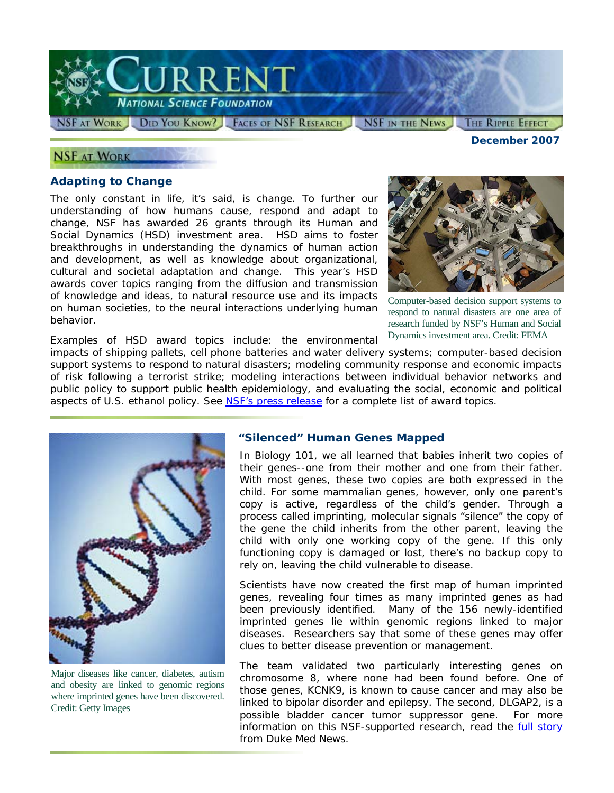

### **NSF AT WORK**

### **Adapting to Change**

The only constant in life, it's said, is change. To further our understanding of how humans cause, respond and adapt to change, NSF has awarded 26 grants through its Human and Social Dynamics (HSD) investment area. HSD aims to foster breakthroughs in understanding the dynamics of human action and development, as well as knowledge about organizational, cultural and societal adaptation and change. This year's HSD awards cover topics ranging from the diffusion and transmission of knowledge and ideas, to natural resource use and its impacts on human societies, to the neural interactions underlying human behavior.



Computer-based decision support systems to respond to natural disasters are one area of research funded by NSF's Human and Social Dynamics investment area. Credit: FEMA

Examples of HSD award topics include: the environmental impacts of shipping pallets, cell phone batteries and water delivery systems; computer-based decision support systems to respond to natural disasters; modeling community response and economic impacts of risk following a terrorist strike; modeling interactions between individual behavior networks and public policy to support public health epidemiology, and evaluating the social, economic and political aspects of U.S. ethanol policy. See [NSF's press release](http://www.nsf.gov/news/news_summ.jsp?cntn_id=110720) for a complete list of award topics.



Major diseases like cancer, diabetes, autism and obesity are linked to genomic regions where imprinted genes have been discovered. Credit: Getty Images

### **"Silenced" Human Genes Mapped**

In Biology 101, we all learned that babies inherit two copies of their genes--one from their mother and one from their father. With most genes, these two copies are both expressed in the child. For some mammalian genes, however, only one parent's copy is active, regardless of the child's gender. Through a process called imprinting, molecular signals "silence" the copy of the gene the child inherits from the other parent, leaving the child with only one working copy of the gene. If this only functioning copy is damaged or lost, there's no backup copy to rely on, leaving the child vulnerable to disease.

Scientists have now created the first map of human imprinted genes, revealing four times as many imprinted genes as had been previously identified. Many of the 156 newly-identified imprinted genes lie within genomic regions linked to major diseases. Researchers say that some of these genes may offer clues to better disease prevention or management.

The team validated two particularly interesting genes on chromosome 8, where none had been found before. One of those genes, KCNK9, is known to cause cancer and may also be linked to bipolar disorder and epilepsy. The second, DLGAP2, is a possible bladder cancer tumor suppressor gene. For more information on this NSF-supported research, read the **full story** from *Duke Med News*.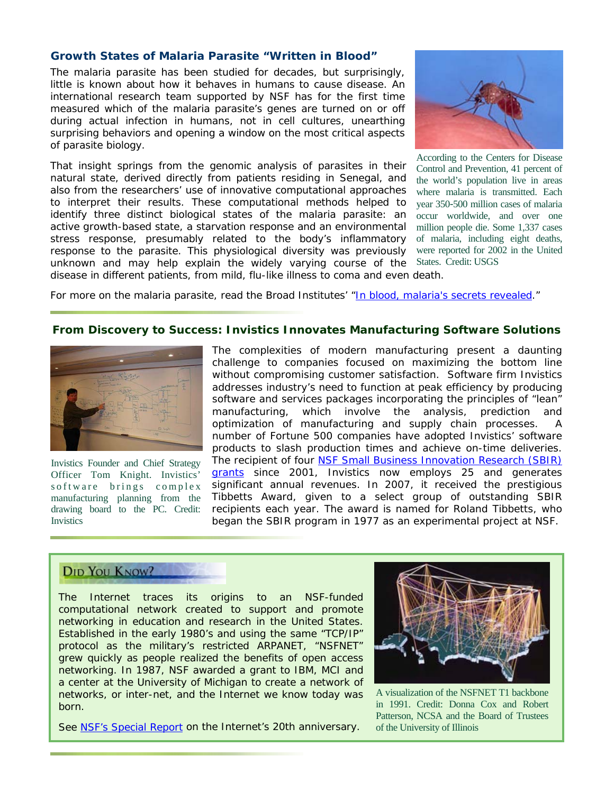### **Growth States of Malaria Parasite "Written in Blood"**

The malaria parasite has been studied for decades, but surprisingly, little is known about how it behaves in humans to cause disease. An international research team supported by NSF has for the first time measured which of the malaria parasite's genes are turned on or off during actual infection in humans, not in cell cultures, unearthing surprising behaviors and opening a window on the most critical aspects of parasite biology.

That insight springs from the genomic analysis of parasites in their natural state, derived directly from patients residing in Senegal, and also from the researchers' use of innovative computational approaches to interpret their results. These computational methods helped to identify three distinct biological states of the malaria parasite: an active growth-based state, a starvation response and an environmental stress response, presumably related to the body's inflammatory response to the parasite. This physiological diversity was previously unknown and may help explain the widely varying course of the disease in different patients, from mild, flu-like illness to coma and even death.



According to the Centers for Disease Control and Prevention, 41 percent of the world's population live in areas where malaria is transmitted. Each year 350-500 million cases of malaria occur worldwide, and over one million people die. Some 1,337 cases of malaria, including eight deaths, were reported for 2002 in the United States. Credit: USGS

For more on the malaria parasite, read the Broad Institutes' "[In blood, malaria's secrets revealed.](http://www.nsf.gov/cgi-bin/goodbye?http://www.broad.mit.edu/cgi-bin/news/display_news.cgi?id=4161)"

#### **From Discovery to Success: Invistics Innovates Manufacturing Software Solutions**



Invistics Founder and Chief Strategy Officer Tom Knight. Invistics' s of tware brings complex manufacturing planning from the drawing board to the PC. Credit: **Invistics** 

The complexities of modern manufacturing present a daunting challenge to companies focused on maximizing the bottom line without compromising customer satisfaction. Software firm Invistics addresses industry's need to function at peak efficiency by producing software and services packages incorporating the principles of "lean" manufacturing, which involve the analysis, prediction and optimization of manufacturing and supply chain processes. A number of Fortune 500 companies have adopted Invistics' software products to slash production times and achieve on-time deliveries. The recipient of four NSF Small Business Innovation Research (SBIR) [grants](http://www.nsf.gov/awardsearch/afSearch.do?PIInstitution=Invistics+Corporation&page=4&SearchType=afSearch&QueryText=&PIFirstName=&PILastName=&COPILastName=&COPIFirstName=&IncludeCOPI=&ProgProgram=&PIState=&PIZip=&PICountry=&ProgOrganization=&ProgOfficer=&P) since 2001, Invistics now employs 25 and generates significant annual revenues. In 2007, it received the prestigious Tibbetts Award, given to a select group of outstanding SBIR recipients each year. The award is named for Roland Tibbetts, who began the SBIR program in 1977 as an experimental project at NSF.

# **DID YOU KNOW?**

The Internet traces its origins to an NSF-funded computational network created to support and promote networking in education and research in the United States. Established in the early 1980's and using the same "TCP/IP" protocol as the military's restricted ARPANET, "NSFNET" grew quickly as people realized the benefits of open access networking. In 1987, NSF awarded a grant to IBM, MCI and a center at the University of Michigan to create a network of networks, or inter-net, and the Internet we know today was born.

See **NSF's Special Report on the Internet's 20th anniversary**.



A visualization of the NSFNET T1 backbone in 1991. Credit: Donna Cox and Robert Patterson, NCSA and the Board of Trustees of the University of Illinois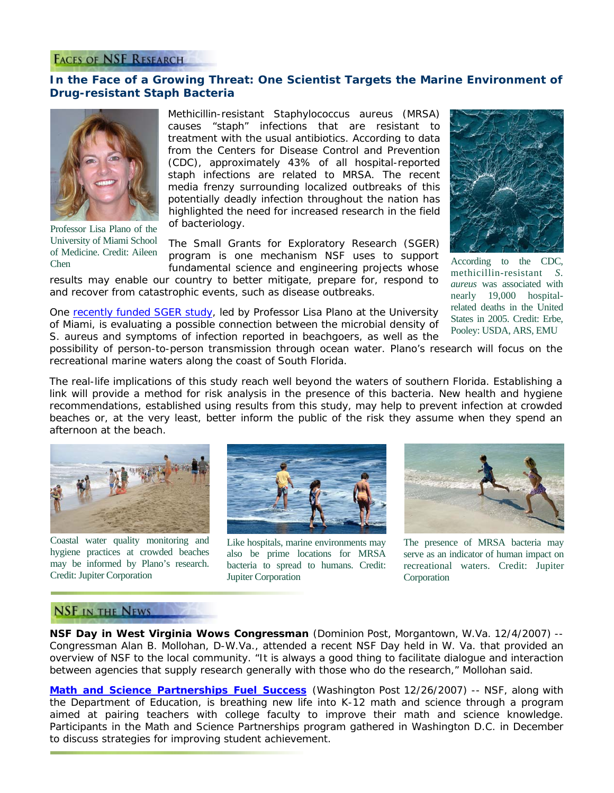### **FACES OF NSF RESEARCH**

# **In the Face of a Growing Threat: One Scientist Targets the Marine Environment of Drug-resistant Staph Bacteria**



Professor Lisa Plano of the University of Miami School of Medicine. Credit: Aileen Chen

Methicillin-resistant *Staphylococcus aureus* (MRSA) causes "staph" infections that are resistant to treatment with the usual antibiotics. According to data from the Centers for Disease Control and Prevention (CDC), approximately 43% of all hospital-reported staph infections are related to MRSA. The recent media frenzy surrounding localized outbreaks of this potentially deadly infection throughout the nation has highlighted the need for increased research in the field of bacteriology.

The Small Grants for Exploratory Research (SGER) program is one mechanism NSF uses to support fundamental science and engineering projects whose

results may enable our country to better mitigate, prepare for, respond to and recover from catastrophic events, such as disease outbreaks.



According to the CDC, methicillin-resistant *S. aureus* was associated with nearly 19,000 hospitalrelated deaths in the United States in 2005. Credit: Erbe, Pooley: USDA, ARS, EMU

One [recently funded SGER study,](http://www.nsf.gov/awardsearch/showAward.do?AwardNumber=0743987) led by Professor Lisa Plano at the University of Miami, is evaluating a possible connection between the microbial density of *S. aureus* and symptoms of infection reported in beachgoers, as well as the

possibility of person-to-person transmission through ocean water. Plano's research will focus on the recreational marine waters along the coast of South Florida.

The real-life implications of this study reach well beyond the waters of southern Florida. Establishing a link will provide a method for risk analysis in the presence of this bacteria. New health and hygiene recommendations, established using results from this study, may help to prevent infection at crowded beaches or, at the very least, better inform the public of the risk they assume when they spend an afternoon at the beach.



Coastal water quality monitoring and hygiene practices at crowded beaches may be informed by Plano's research. Credit: Jupiter Corporation



Like hospitals, marine environments may also be prime locations for MRSA bacteria to spread to humans. Credit: Jupiter Corporation



The presence of MRSA bacteria may serve as an indicator of human impact on recreational waters. Credit: Jupiter Corporation

# **NSF IN THE NEWS**

**NSF Day in West Virginia Wows Congressman** *(Dominion Post, Morgantown, W.Va. 12/4/2007)* -- Congressman Alan B. Mollohan, D-W.Va., attended a recent NSF Day held in W. Va. that provided an overview of NSF to the local community. "It is always a good thing to facilitate dialogue and interaction between agencies that supply research generally with those who do the research," Mollohan said.

**[Math and Science Partnerships Fuel Success](http://www.nsf.gov/cgi-bin/goodbye?http://www.washingtonpost.com/wp-dyn/content/article/2007/12/25/AR2007122501423.html)** (*Washington Post 12/26/2007)* -- NSF, along with the Department of Education, is breathing new life into K-12 math and science through a program aimed at pairing teachers with college faculty to improve their math and science knowledge. Participants in the Math and Science Partnerships program gathered in Washington D.C. in December to discuss strategies for improving student achievement.